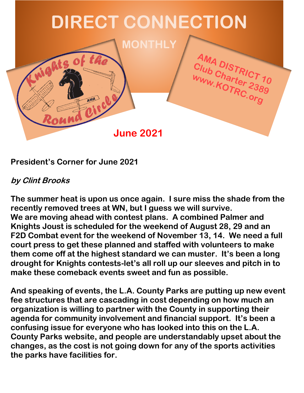

**President's Corner for June 2021** 

## **by Clint Brooks**

**The summer heat is upon us once again. I sure miss the shade from the recently removed trees at WN, but I guess we will survive. We are moving ahead with contest plans. A combined Palmer and Knights Joust is scheduled for the weekend of August 28, 29 and an F2D Combat event for the weekend of November 13, 14. We need a full court press to get these planned and staffed with volunteers to make them come off at the highest standard we can muster. It's been a long drought for Knights contests-let's all roll up our sleeves and pitch in to make these comeback events sweet and fun as possible.**

**And speaking of events, the L.A. County Parks are putting up new event fee structures that are cascading in cost depending on how much an organization is willing to partner with the County in supporting their agenda for community involvement and financial support. It's been a confusing issue for everyone who has looked into this on the L.A. County Parks website, and people are understandably upset about the changes, as the cost is not going down for any of the sports activities the parks have facilities for.**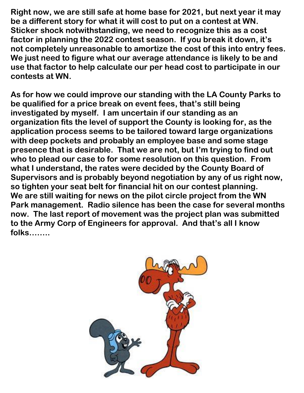**Right now, we are still safe at home base for 2021, but next year it may be a different story for what it will cost to put on a contest at WN. Sticker shock notwithstanding, we need to recognize this as a cost factor in planning the 2022 contest season. If you break it down, it's not completely unreasonable to amortize the cost of this into entry fees. We just need to figure what our average attendance is likely to be and use that factor to help calculate our per head cost to participate in our contests at WN.** 

**As for how we could improve our standing with the LA County Parks to be qualified for a price break on event fees, that's still being investigated by myself. I am uncertain if our standing as an organization fits the level of support the County is looking for, as the application process seems to be tailored toward large organizations with deep pockets and probably an employee base and some stage presence that is desirable. That we are not, but I'm trying to find out who to plead our case to for some resolution on this question. From what I understand, the rates were decided by the County Board of Supervisors and is probably beyond negotiation by any of us right now, so tighten your seat belt for financial hit on our contest planning. We are still waiting for news on the pilot circle project from the WN Park management. Radio silence has been the case for several months now. The last report of movement was the project plan was submitted to the Army Corp of Engineers for approval. And that's all I know folks……..**

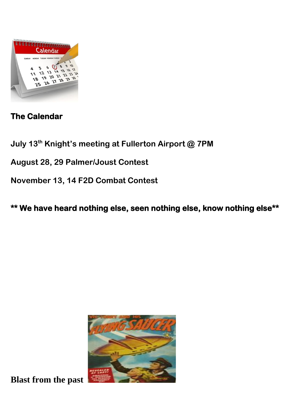

**The Calendar** 

**July 13th Knight's meeting at Fullerton Airport @ 7PM**

**August 28, 29 Palmer/Joust Contest**

**November 13, 14 F2D Combat Contest**

**\*\* We have heard nothing else, seen nothing else, know nothing else\*\*** 



**Blast from the past**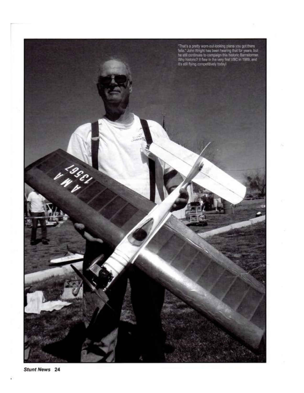

**Stunt News** 24

à,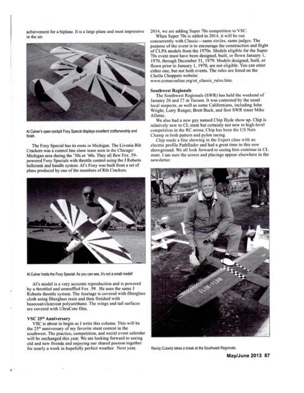achievement for a biplane. It is a large plane and most impressive in the air.



Al Culver's open cockpit Foxy Special displays excellent craftsmanship and finish.

The Foxy Special has its roots in Michigan. The Livonia Rib Crackers was a control line show team seen in the Chicago/ Michigan area during the '50s or '60s. They all flew Fox .59powered Foxy Specials with throttle control using the J Roberts bellcrank and handle system. Al's Foxy was built from a set of plans produced by one of the members of Rib Crackers.



Al Culver holds the Foxy Special. As you can see, it's not a small model!

Al's model is a very accurate reproduction and is powered by a throttled and unmuffled Fox .59. He uses the same J Roberts throttle system. The fuselage is covered with fiberglass cloth using fiberglass resin and then finished with basecoat/clearcoat polyurethane. The wings and tail surfaces are covered with UltraCote film.

#### VSC 25<sup>th</sup> Anniversary

VSC is about to begin as I write this column. This will be the 25<sup>th</sup> anniversary of my favorite stunt contest in the southwest. The practice, competition, and social event calendar will be unchanged this year. We are looking forward to seeing old and new friends and enjoying our shared passion together for nearly a week in hopefully perfect weather. Next year,

2014, we are adding Super 70s competition to VSC.

When Super 70s is added in 2014, it will be run concurrently with Classic-same circles, same judges. The purpose of the event is to encourage the construction and flight of CLPA models from the 1970s. Models eligible for the Super 70s event must have been designed, built, or flown January 1, 1970, through December 31, 1979. Models designed, built, or flown prior to January 1, 1970, are not eligible. You can enter either one, but not both events. The rules are listed on the Cholla Choppers website:

www.ccmaconline.org/ot\_classic\_rules.htm.

#### **Southwest Regionals**

The Southwest Regionals (SWR) has held the weekend of January 26 and 27 in Tucson. It was contested by the usual local suspects, as well as some Californians, including John Wright, Larry Renger, Brett Buck, and first SWR timer Mike Allurac.

We also had a new guy named Chip Hyde show up. Chip is relatively new to CL stunt but certainly not new to high-level competition in the RC arena; Chip has been the US Nats Champ in both pattern and pylon racing.

Chip made a fine showing in the Expert class with an electric profile Pathfinder and had a great time in this new showground. We all look forward to seeing him continue in CL stunt. I am sure the scores and placings appear elsewhere in the newsletter.



Randy Cuberly takes a break at the Southwest Regionals.

May/June 2013 87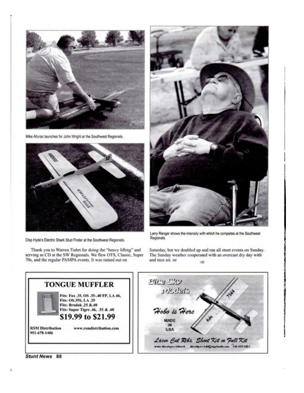

Mike Allurac launches for John Wright at the Southwest Regionals.



Chip Hyde's Electric Shark Stud Finder at the Southwest Regionals.

Thank you to Warren Tiahrt for doing the "heavy lifting" and serving as CD at the SW Regionals. We flew OTS, Classic, Super 70s, and the regular PAMPA events. It was rained out on



Larry Renger shows the intensity with which he competes at the Southwest Regionals.

Saturday, but we doubled up and ran all stunt events on Sunday. The Sunday weather cooperated with an overcast dry day with and nice air. sw



**Stunt News** 88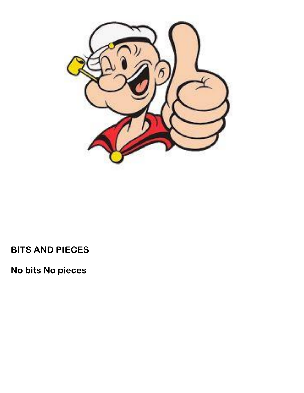

## **BITS AND PIECES**

**No bits No pieces**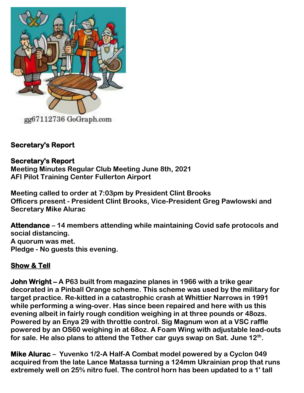

gg67112736 GoGraph.com

### **Secretary's Report**

#### **Secretary's Report**

**Meeting Minutes Regular Club Meeting June 8th, 2021 AFI Pilot Training Center Fullerton Airport**

**Meeting called to order at 7:03pm by President Clint Brooks Officers present - President Clint Brooks, Vice-President Greg Pawlowski and Secretary Mike Alurac**

**Attendance – 14 members attending while maintaining Covid safe protocols and social distancing. A quorum was met. Pledge - No guests this evening.**

#### **Show & Tell**

**John Wright – A P63 built from magazine planes in 1966 with a trike gear decorated in a Pinball Orange scheme. This scheme was used by the military for target practice. Re-kitted in a catastrophic crash at Whittier Narrows in 1991 while performing a wing-over. Has since been repaired and here with us this evening albeit in fairly rough condition weighing in at three pounds or 48ozs. Powered by an Enya 29 with throttle control. Sig Magnum won at a VSC raffle powered by an OS60 weighing in at 68oz. A Foam Wing with adjustable lead-outs for sale. He also plans to attend the Tether car guys swap on Sat. June 12th .** 

**Mike Alurac – Yuvenko 1/2-A Half-A Combat model powered by a Cyclon 049 acquired from the late Lance Matassa turning a 124mm Ukrainian prop that runs extremely well on 25% nitro fuel. The control horn has been updated to a 1' tall**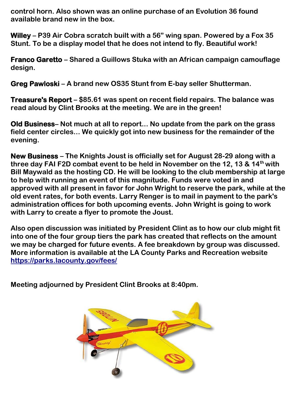**control horn. Also shown was an online purchase of an Evolution 36 found available brand new in the box.** 

**Willey – P39 Air Cobra scratch built with a 56" wing span. Powered by a Fox 35 Stunt. To be a display model that he does not intend to fly. Beautiful work!**

**Franco Garetto – Shared a Guillows Stuka with an African campaign camouflage design.**

**Greg Pawloski – A brand new OS35 Stunt from E-bay seller Shutterman.** 

**Treasure's Report – \$85.61 was spent on recent field repairs. The balance was read aloud by Clint Brooks at the meeting. We are in the green!** 

**Old Business– Not much at all to report... No update from the park on the grass field center circles... We quickly got into new business for the remainder of the evening.**

**New Business – The Knights Joust is officially set for August 28-29 along with a three day FAI F2D combat event to be held in November on the 12, 13 & 14th with Bill Maywald as the hosting CD. He will be looking to the club membership at large to help with running an event of this magnitude. Funds were voted in and approved with all present in favor for John Wright to reserve the park, while at the old event rates, for both events. Larry Renger is to mail in payment to the park's administration offices for both upcoming events. John Wright is going to work with Larry to create a flyer to promote the Joust.** 

**Also open discussion was initiated by President Clint as to how our club might fit into one of the four group tiers the park has created that reflects on the amount we may be charged for future events. A fee breakdown by group was discussed. More information is available at the LA County Parks and Recreation website https://parks.lacounty.gov/fees/**

**Meeting adjourned by President Clint Brooks at 8:40pm.** 

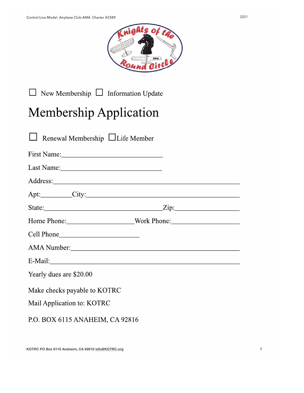

 $\Box$  New Membership  $\Box$  Information Update

# Membership Application

| $\Box$ Renewal Membership $\Box$ Life Member |                                                                                  |
|----------------------------------------------|----------------------------------------------------------------------------------|
|                                              |                                                                                  |
|                                              |                                                                                  |
|                                              |                                                                                  |
|                                              |                                                                                  |
|                                              |                                                                                  |
|                                              | Home Phone: ____________________________Work Phone: ____________________________ |
|                                              |                                                                                  |
| AMA Number: 1988                             |                                                                                  |
|                                              |                                                                                  |
| Yearly dues are \$20.00                      |                                                                                  |
| Make checks payable to KOTRC                 |                                                                                  |
| Mail Application to: KOTRC                   |                                                                                  |
| P.O. BOX 6115 ANAHEIM, CA 92816              |                                                                                  |